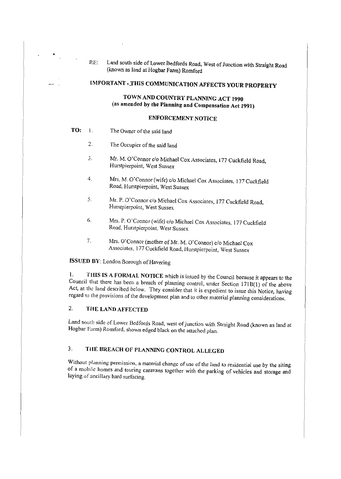RE: Land south side of Lower Bedfords Road, West of Junction with Straight Road (known as land at Hogbar Farm) Romford

# **IMPORTANT ,.THIS COMMUNICATION AFFECTS YOUR PROPERTY**

## **TOWN AND COUNTRY PLANNING ACT 1990**  (as **amended by the Planning and Compensation Act 1991)**

## **ENFORCEMENT NOTICE**

- **TO:** l. The Owner of the said land
	- 2. The Occupier of the said land
	- 3. Mr. M. O'Connor c/o Michael Cox Associates, 177 Cuckfield Road, Hurstpierpoint, West Sussex
	- 4. Mrs. M. O'Connor (wife) c/o Michael Cox Associates, 177 Cuckfield Road, Hurstpierpoint, West Sussex
	- 5. Mr. P. O'Connor c/o Michael Cox Associates, 177 Cuckfield Road, Hurstpierpoint, West Sussex
	- 6. Mrs. P. O'Connor (wife) c/o Michael Cox Associates, 177 Cuckfield Road, Hurstpierpoint, West Sussex
	- 7. Mrs. O'Connor (mother of Mr. M. O'Connor) c/o Michael Cox Associates, 177 Cuckfield Road, Hurstpierpoint, West Sussex

## **ISSUED BY:** London Borough of Havering

!. **THIS IS A FORMAL NOTICE** which is issued by the Council because it appears to the Council that there has been a breach of planning control, under Section 171B(1) of the above Act, at the land described below. They consider that it is expedient to issue this Notice, having regard to the provisions of the development plan and to other material planning considerations.

## 2. **THE LAND AFFECTED**

Land south side of Lower Bedfords Road, west of junction with Straight Road (known as land at Hogbar Farm) Romford, shown edged black on the attached plan.

# 3. **THE BREACH OF PLANNING CONTROL ALLEGED**

Without planning permission, a material change of use of the land to residential use by the siting of a mobile homes and touring caravans together with the parking of vehicles and storage and laying of ancillary hard surfacing.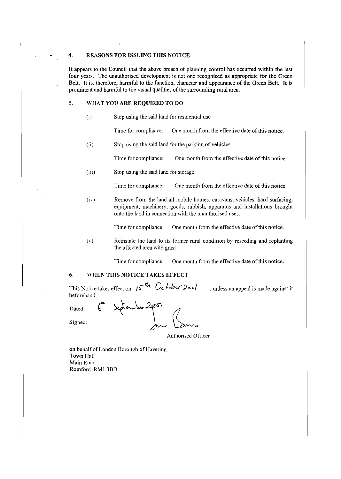#### 4. REASONS FOR ISSUING THIS NOTICE

It appears to the Council that the above breach of planning control has occurred within the last four years. The unauthorised development is not one recognised as appropriate for the Green Belt. It is, therefore, harmful to the function, character and appearance of the Green Belt. It is prominent and harmful to the visual qualities of the surrounding rural area.

## 5. \VHAT YOU ARE REQUIRED TO DO

(i) Stop using the said land for residential use

Time for compliance: One month from the effective date of this notice.

(ii) Stop using the said land for the parking of vehicles.

Time for compliance: One month from the effective date of this notice.

(iii) Stop using the said land for storage.

Time for compliance: One month from the effective date of this notice.

 $(iv)$  Remove from the land all mobile homes, caravans, vehicles, hard surfacing, equipment, machinery, goods, rubbish, apparatus and installations brought onto the land in connection with the unauthorised uses.

Time for compliance: One month from the effective date of this notice.

 $(v)$  Reinstate the land to its former rural condition by reseeding and replanting the affected area with grass.

Time for compliance: One month from the effective date of this notice.

#### 6. WHEN THIS NOTICE TAKES EFFECT

This Notice takes effect on  $j\zeta^{n}h$   $Oc$  ber  $2\circ e/$ , unless an appeal is made against it beforehand.

Dated:

Signed:

September 2

Authorised Officer

on behalf of London Borough of Havering Town Hall Main Road Romford RMI 380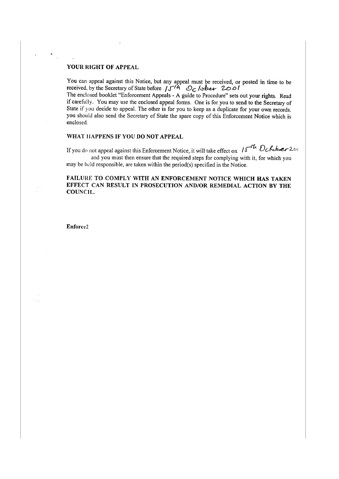### YOUR RIGHT OF APPEAL

You can appeal against this Notice, but any appeal must be received, or posted in time to be received, by the Secretary of State before  $\int \int \sqrt{4} \cdot \mathcal{O}_C/\sqrt{2}$ The enclosed booklet "Enforcement Appeals - A guide to Procedure" sets out your rights. Read if carefully. You may use the enclosed appeal forms. One is for you to send to the Secretary of State if you decide to appeal. The other is for you to keep as a duplicate for your own records. you should also send the Secretary of State the spare copy of this Enforcement Notice which is enclosed.

#### WHAT HAPPENS IF YOU DO NOT APPEAL

If you do not appeal against this Enforcement Notice, it will take effect on  $15<sup>-16</sup>$  Ocksber 200 and you must then ensure that the required steps for complying with it, for which you may be held responsible, are taken within the period(s) specified in the Notice.

## FAILURE TO COMPLY WITH AN ENFORCEMENT NOTICE WHICH HAS TAKEN EFFECT CAN RESULT IN PROSECUTION AND/OR REMEDIAL ACTION BY THE COUNCIL.

Enforcc2